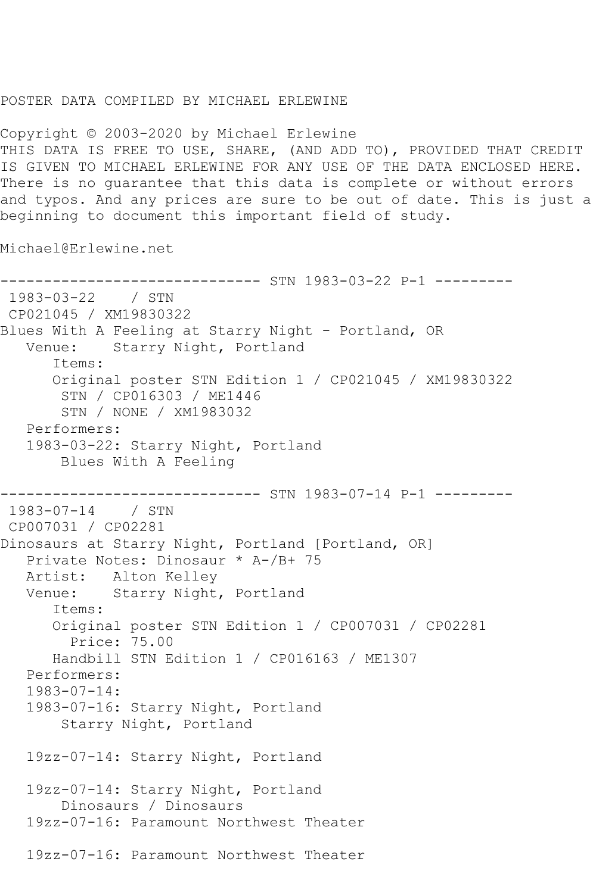## POSTER DATA COMPILED BY MICHAEL ERLEWINE

Copyright © 2003-2020 by Michael Erlewine THIS DATA IS FREE TO USE, SHARE, (AND ADD TO), PROVIDED THAT CREDIT IS GIVEN TO MICHAEL ERLEWINE FOR ANY USE OF THE DATA ENCLOSED HERE. There is no guarantee that this data is complete or without errors and typos. And any prices are sure to be out of date. This is just a beginning to document this important field of study.

Michael@Erlewine.net

------------------------------ STN 1983-03-22 P-1 --------- 1983-03-22 / STN CP021045 / XM19830322 Blues With A Feeling at Starry Night - Portland, OR Venue: Starry Night, Portland Items: Original poster STN Edition 1 / CP021045 / XM19830322 STN / CP016303 / ME1446 STN / NONE / XM1983032 Performers: 1983-03-22: Starry Night, Portland Blues With A Feeling ------------------------------ STN 1983-07-14 P-1 --------- 1983-07-14 / STN CP007031 / CP02281 Dinosaurs at Starry Night, Portland [Portland, OR] Private Notes: Dinosaur \* A-/B+ 75 Artist: Alton Kelley Venue: Starry Night, Portland Items: Original poster STN Edition 1 / CP007031 / CP02281 Price: 75.00 Handbill STN Edition 1 / CP016163 / ME1307 Performers: 1983-07-14: 1983-07-16: Starry Night, Portland Starry Night, Portland 19zz-07-14: Starry Night, Portland 19zz-07-14: Starry Night, Portland Dinosaurs / Dinosaurs 19zz-07-16: Paramount Northwest Theater 19zz-07-16: Paramount Northwest Theater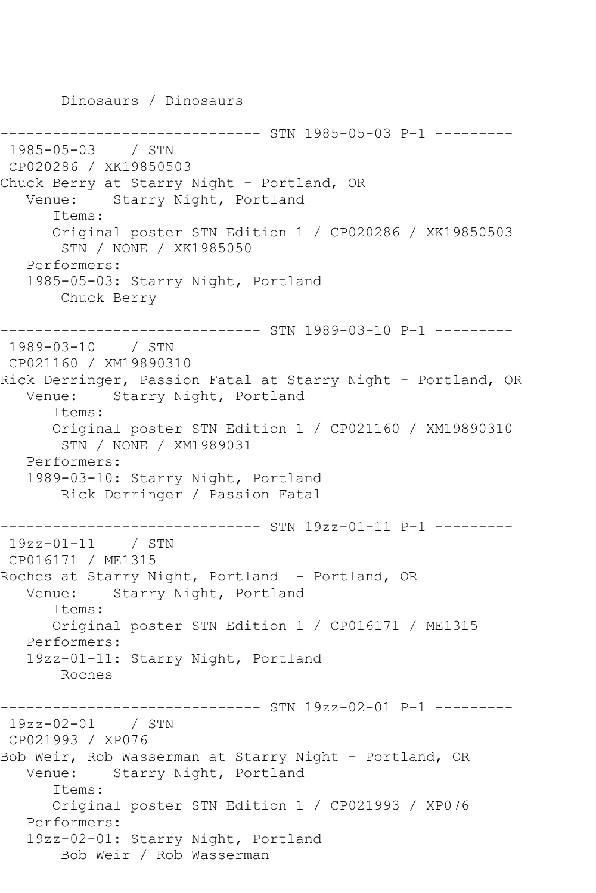Dinosaurs / Dinosaurs ------------- STN 1985-05-03 P-1 ---------1985-05-03 / STN CP020286 / XK19850503 Chuck Berry at Starry Night - Portland, OR Venue: Starry Night, Portland Items: Original poster STN Edition 1 / CP020286 / XK19850503 STN / NONE / XK1985050 Performers: 1985-05-03: Starry Night, Portland Chuck Berry ------------------------------ STN 1989-03-10 P-1 --------- 1989-03-10 / STN CP021160 / XM19890310 Rick Derringer, Passion Fatal at Starry Night - Portland, OR Venue: Starry Night, Portland Items: Original poster STN Edition 1 / CP021160 / XM19890310 STN / NONE / XM1989031 Performers: 1989-03-10: Starry Night, Portland Rick Derringer / Passion Fatal ------------------------------ STN 19zz-01-11 P-1 --------- 19zz-01-11 / STN CP016171 / ME1315 Roches at Starry Night, Portland - Portland, OR Venue: Starry Night, Portland Items: Original poster STN Edition 1 / CP016171 / ME1315 Performers: 19zz-01-11: Starry Night, Portland Roches ----------- STN 19zz-02-01 P-1 ---------19zz-02-01 / STN CP021993 / XP076 Bob Weir, Rob Wasserman at Starry Night - Portland, OR Venue: Starry Night, Portland Items: Original poster STN Edition 1 / CP021993 / XP076 Performers: 19zz-02-01: Starry Night, Portland Bob Weir / Rob Wasserman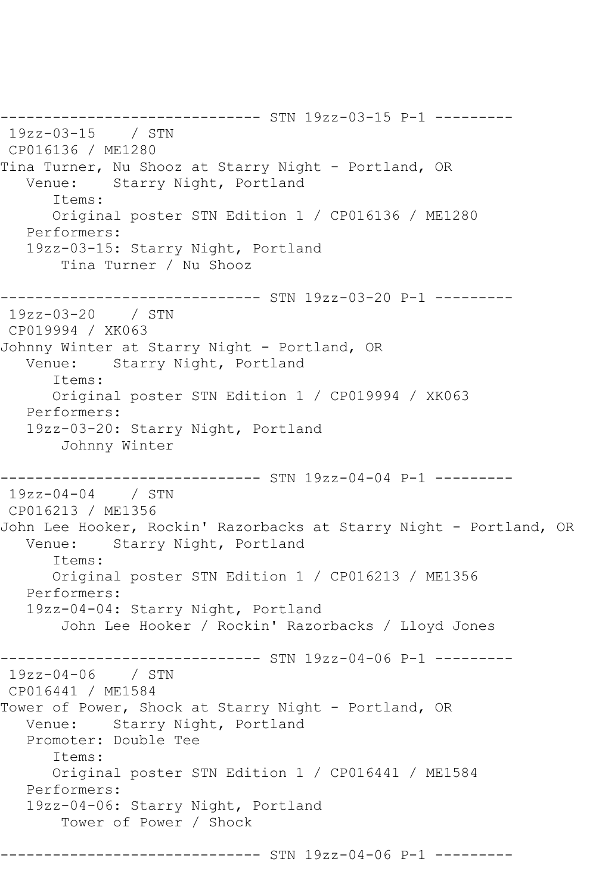------------------------------ STN 19zz-03-15 P-1 --------- 19zz-03-15 / STN CP016136 / ME1280 Tina Turner, Nu Shooz at Starry Night - Portland, OR Venue: Starry Night, Portland Items: Original poster STN Edition 1 / CP016136 / ME1280 Performers: 19zz-03-15: Starry Night, Portland Tina Turner / Nu Shooz ------------------------------ STN 19zz-03-20 P-1 --------- 19zz-03-20 / STN CP019994 / XK063 Johnny Winter at Starry Night - Portland, OR Venue: Starry Night, Portland Items: Original poster STN Edition 1 / CP019994 / XK063 Performers: 19zz-03-20: Starry Night, Portland Johnny Winter ------------------------------ STN 19zz-04-04 P-1 --------- 19zz-04-04 / STN CP016213 / ME1356 John Lee Hooker, Rockin' Razorbacks at Starry Night - Portland, OR Venue: Starry Night, Portland Items: Original poster STN Edition 1 / CP016213 / ME1356 Performers: 19zz-04-04: Starry Night, Portland John Lee Hooker / Rockin' Razorbacks / Lloyd Jones ----------- STN 19zz-04-06 P-1 ----------19zz-04-06 / STN CP016441 / ME1584 Tower of Power, Shock at Starry Night - Portland, OR Venue: Starry Night, Portland Promoter: Double Tee Items: Original poster STN Edition 1 / CP016441 / ME1584 Performers: 19zz-04-06: Starry Night, Portland Tower of Power / Shock ------------------------------ STN 19zz-04-06 P-1 ---------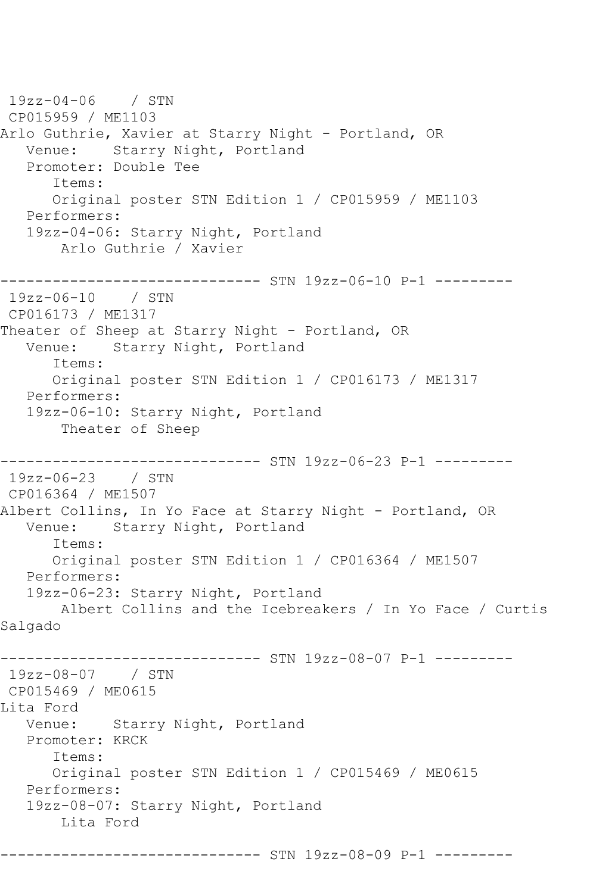19zz-04-06 / STN CP015959 / ME1103 Arlo Guthrie, Xavier at Starry Night - Portland, OR Venue: Starry Night, Portland Promoter: Double Tee Items: Original poster STN Edition 1 / CP015959 / ME1103 Performers: 19zz-04-06: Starry Night, Portland Arlo Guthrie / Xavier ------------------------------ STN 19zz-06-10 P-1 --------- 19zz-06-10 / STN CP016173 / ME1317 Theater of Sheep at Starry Night - Portland, OR Venue: Starry Night, Portland Items: Original poster STN Edition 1 / CP016173 / ME1317 Performers: 19zz-06-10: Starry Night, Portland Theater of Sheep ------------------------------ STN 19zz-06-23 P-1 --------- 19zz-06-23 / STN CP016364 / ME1507 Albert Collins, In Yo Face at Starry Night - Portland, OR Venue: Starry Night, Portland Items: Original poster STN Edition 1 / CP016364 / ME1507 Performers: 19zz-06-23: Starry Night, Portland Albert Collins and the Icebreakers / In Yo Face / Curtis Salgado ---------- STN 19zz-08-07 P-1 ---------19zz-08-07 / STN CP015469 / ME0615 Lita Ford Venue: Starry Night, Portland Promoter: KRCK Items: Original poster STN Edition 1 / CP015469 / ME0615 Performers: 19zz-08-07: Starry Night, Portland Lita Ford ------------------------------ STN 19zz-08-09 P-1 ---------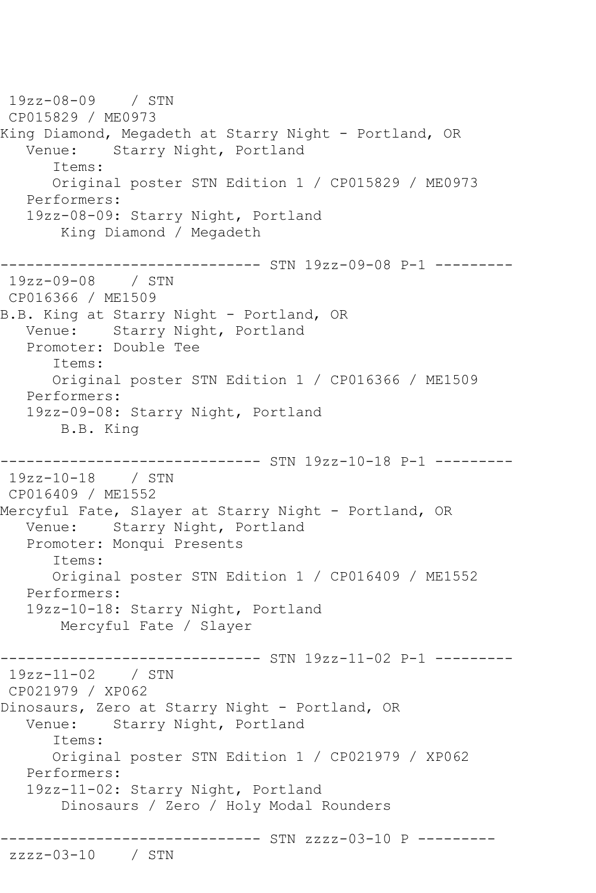19zz-08-09 / STN CP015829 / ME0973 King Diamond, Megadeth at Starry Night - Portland, OR Venue: Starry Night, Portland Items: Original poster STN Edition 1 / CP015829 / ME0973 Performers: 19zz-08-09: Starry Night, Portland King Diamond / Megadeth ------------------------------ STN 19zz-09-08 P-1 --------- 19zz-09-08 / STN CP016366 / ME1509 B.B. King at Starry Night - Portland, OR Venue: Starry Night, Portland Promoter: Double Tee Items: Original poster STN Edition 1 / CP016366 / ME1509 Performers: 19zz-09-08: Starry Night, Portland B.B. King ------------------------------ STN 19zz-10-18 P-1 --------- 19zz-10-18 / STN CP016409 / ME1552 Mercyful Fate, Slayer at Starry Night - Portland, OR Venue: Starry Night, Portland Promoter: Monqui Presents Items: Original poster STN Edition 1 / CP016409 / ME1552 Performers: 19zz-10-18: Starry Night, Portland Mercyful Fate / Slayer ------------------------------ STN 19zz-11-02 P-1 --------- 19zz-11-02 / STN CP021979 / XP062 Dinosaurs, Zero at Starry Night - Portland, OR Venue: Starry Night, Portland Items: Original poster STN Edition 1 / CP021979 / XP062 Performers: 19zz-11-02: Starry Night, Portland Dinosaurs / Zero / Holy Modal Rounders ------------------------------ STN zzzz-03-10 P -------- zzzz-03-10 / STN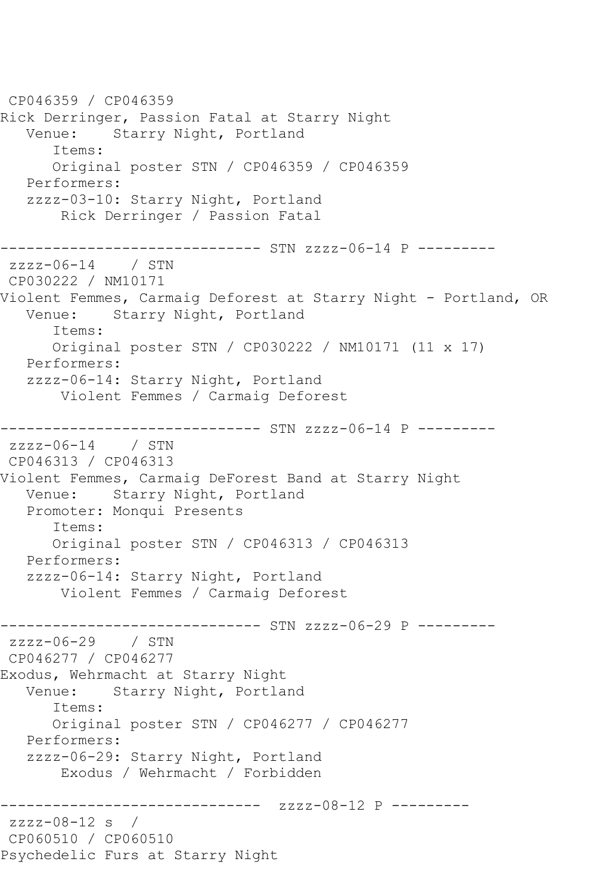CP046359 / CP046359 Rick Derringer, Passion Fatal at Starry Night Venue: Starry Night, Portland Items: Original poster STN / CP046359 / CP046359 Performers: zzzz-03-10: Starry Night, Portland Rick Derringer / Passion Fatal ------------------------------ STN zzzz-06-14 P -------- zzzz-06-14 / STN CP030222 / NM10171 Violent Femmes, Carmaig Deforest at Starry Night - Portland, OR Venue: Starry Night, Portland Items: Original poster STN / CP030222 / NM10171 (11 x 17) Performers: zzzz-06-14: Starry Night, Portland Violent Femmes / Carmaig Deforest ------------------------------ STN zzzz-06-14 P -------- zzzz-06-14 / STN CP046313 / CP046313 Violent Femmes, Carmaig DeForest Band at Starry Night Venue: Starry Night, Portland Promoter: Monqui Presents Items: Original poster STN / CP046313 / CP046313 Performers: zzzz-06-14: Starry Night, Portland Violent Femmes / Carmaig Deforest ------------------------------ STN zzzz-06-29 P -------- zzzz-06-29 / STN CP046277 / CP046277 Exodus, Wehrmacht at Starry Night Starry Night, Portland Items: Original poster STN / CP046277 / CP046277 Performers: zzzz-06-29: Starry Night, Portland Exodus / Wehrmacht / Forbidden ------------------------------ zzzz-08-12 P -------- zzzz-08-12 s / CP060510 / CP060510 Psychedelic Furs at Starry Night